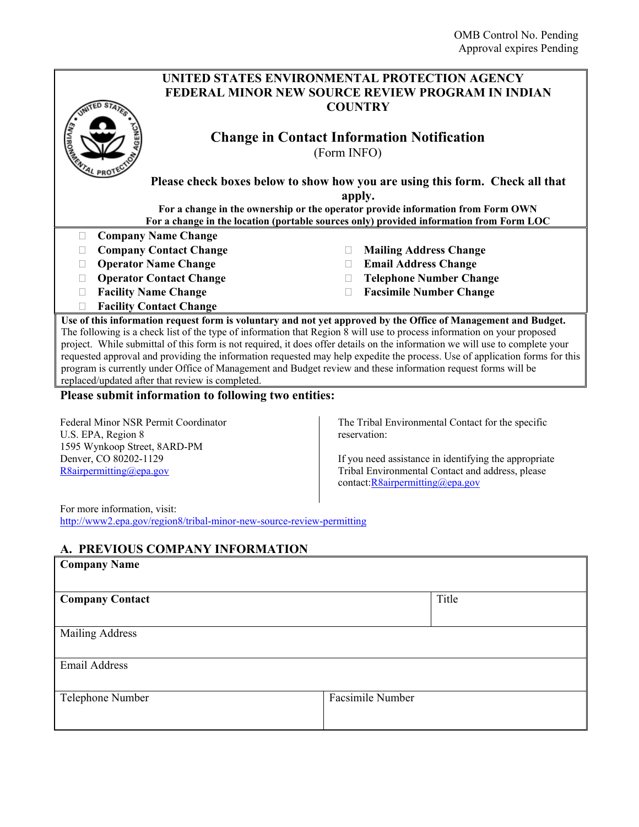|                                                                                                                                                                                                                                                                                                                                                                                                                                                                                                                                                                                                                                                                                                                                                                                                                                                                                         |              | UNITED STATES ENVIRONMENTAL PROTECTION AGENCY                                                                                                                                  |
|-----------------------------------------------------------------------------------------------------------------------------------------------------------------------------------------------------------------------------------------------------------------------------------------------------------------------------------------------------------------------------------------------------------------------------------------------------------------------------------------------------------------------------------------------------------------------------------------------------------------------------------------------------------------------------------------------------------------------------------------------------------------------------------------------------------------------------------------------------------------------------------------|--------------|--------------------------------------------------------------------------------------------------------------------------------------------------------------------------------|
|                                                                                                                                                                                                                                                                                                                                                                                                                                                                                                                                                                                                                                                                                                                                                                                                                                                                                         |              | <b>FEDERAL MINOR NEW SOURCE REVIEW PROGRAM IN INDIAN</b>                                                                                                                       |
|                                                                                                                                                                                                                                                                                                                                                                                                                                                                                                                                                                                                                                                                                                                                                                                                                                                                                         |              | <b>COUNTRY</b>                                                                                                                                                                 |
|                                                                                                                                                                                                                                                                                                                                                                                                                                                                                                                                                                                                                                                                                                                                                                                                                                                                                         |              |                                                                                                                                                                                |
|                                                                                                                                                                                                                                                                                                                                                                                                                                                                                                                                                                                                                                                                                                                                                                                                                                                                                         |              | <b>Change in Contact Information Notification</b>                                                                                                                              |
|                                                                                                                                                                                                                                                                                                                                                                                                                                                                                                                                                                                                                                                                                                                                                                                                                                                                                         | (Form INFO)  |                                                                                                                                                                                |
|                                                                                                                                                                                                                                                                                                                                                                                                                                                                                                                                                                                                                                                                                                                                                                                                                                                                                         |              |                                                                                                                                                                                |
|                                                                                                                                                                                                                                                                                                                                                                                                                                                                                                                                                                                                                                                                                                                                                                                                                                                                                         |              | Please check boxes below to show how you are using this form. Check all that                                                                                                   |
|                                                                                                                                                                                                                                                                                                                                                                                                                                                                                                                                                                                                                                                                                                                                                                                                                                                                                         |              | apply.                                                                                                                                                                         |
|                                                                                                                                                                                                                                                                                                                                                                                                                                                                                                                                                                                                                                                                                                                                                                                                                                                                                         |              | For a change in the ownership or the operator provide information from Form OWN                                                                                                |
|                                                                                                                                                                                                                                                                                                                                                                                                                                                                                                                                                                                                                                                                                                                                                                                                                                                                                         |              | For a change in the location (portable sources only) provided information from Form LOC                                                                                        |
| <b>Company Name Change</b><br>$\Box$                                                                                                                                                                                                                                                                                                                                                                                                                                                                                                                                                                                                                                                                                                                                                                                                                                                    |              |                                                                                                                                                                                |
| <b>Company Contact Change</b><br>$\Box$                                                                                                                                                                                                                                                                                                                                                                                                                                                                                                                                                                                                                                                                                                                                                                                                                                                 | П            | <b>Mailing Address Change</b>                                                                                                                                                  |
| <b>Operator Name Change</b><br>П                                                                                                                                                                                                                                                                                                                                                                                                                                                                                                                                                                                                                                                                                                                                                                                                                                                        | $\mathbf{L}$ | <b>Email Address Change</b>                                                                                                                                                    |
| <b>Operator Contact Change</b><br>$\Box$                                                                                                                                                                                                                                                                                                                                                                                                                                                                                                                                                                                                                                                                                                                                                                                                                                                |              | <b>Telephone Number Change</b>                                                                                                                                                 |
| <b>Facility Name Change</b><br>П                                                                                                                                                                                                                                                                                                                                                                                                                                                                                                                                                                                                                                                                                                                                                                                                                                                        | Ш            | <b>Facsimile Number Change</b>                                                                                                                                                 |
| <b>Facility Contact Change</b>                                                                                                                                                                                                                                                                                                                                                                                                                                                                                                                                                                                                                                                                                                                                                                                                                                                          |              |                                                                                                                                                                                |
| Use of this information request form is voluntary and not yet approved by the Office of Management and Budget.<br>The following is a check list of the type of information that Region 8 will use to process information on your proposed<br>project. While submittal of this form is not required, it does offer details on the information we will use to complete your<br>requested approval and providing the information requested may help expedite the process. Use of application forms for this<br>program is currently under Office of Management and Budget review and these information request forms will be<br>replaced/updated after that review is completed.<br>Please submit information to following two entities:<br>Federal Minor NSR Permit Coordinator<br>U.S. EPA, Region 8<br>1595 Wynkoop Street, 8ARD-PM<br>Denver, CO 80202-1129<br>R8airpermitting@epa.gov |              | The Tribal Environmental Contact for the specific<br>reservation:<br>If you need assistance in identifying the appropriate<br>Tribal Environmental Contact and address, please |
| For more information, visit:<br>http://www2.epa.gov/region8/tribal-minor-new-source-review-permitting<br>A. PREVIOUS COMPANY INFORMATION<br><b>Company Name</b><br><b>Company Contact</b>                                                                                                                                                                                                                                                                                                                                                                                                                                                                                                                                                                                                                                                                                               |              | contact: R8airpermitting@epa.gov<br>Title                                                                                                                                      |
| <b>Mailing Address</b><br>Email Address                                                                                                                                                                                                                                                                                                                                                                                                                                                                                                                                                                                                                                                                                                                                                                                                                                                 |              |                                                                                                                                                                                |
|                                                                                                                                                                                                                                                                                                                                                                                                                                                                                                                                                                                                                                                                                                                                                                                                                                                                                         |              |                                                                                                                                                                                |

| Telephone Number | Facsimile Number |
|------------------|------------------|
|                  |                  |
|                  |                  |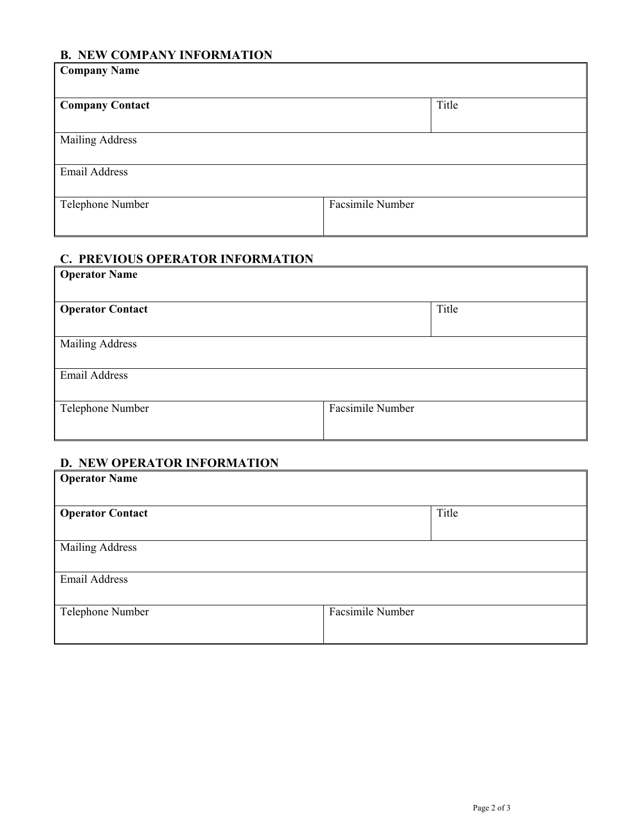### **B. NEW COMPANY INFORMATION**

| <b>Company Name</b>    |                  |
|------------------------|------------------|
| <b>Company Contact</b> | Title            |
| <b>Mailing Address</b> |                  |
| Email Address          |                  |
| Telephone Number       | Facsimile Number |

#### **C. PREVIOUS OPERATOR INFORMATION**

| <b>Operator Name</b>    |                  |       |
|-------------------------|------------------|-------|
|                         |                  |       |
| <b>Operator Contact</b> |                  | Title |
|                         |                  |       |
| <b>Mailing Address</b>  |                  |       |
|                         |                  |       |
| <b>Email Address</b>    |                  |       |
|                         |                  |       |
| Telephone Number        | Facsimile Number |       |
|                         |                  |       |

#### **D. NEW OPERATOR INFORMATION**

| <b>Operator Name</b>    |                  |
|-------------------------|------------------|
|                         |                  |
| <b>Operator Contact</b> | Title            |
|                         |                  |
| <b>Mailing Address</b>  |                  |
|                         |                  |
| <b>Email Address</b>    |                  |
|                         |                  |
| Telephone Number        | Facsimile Number |
|                         |                  |